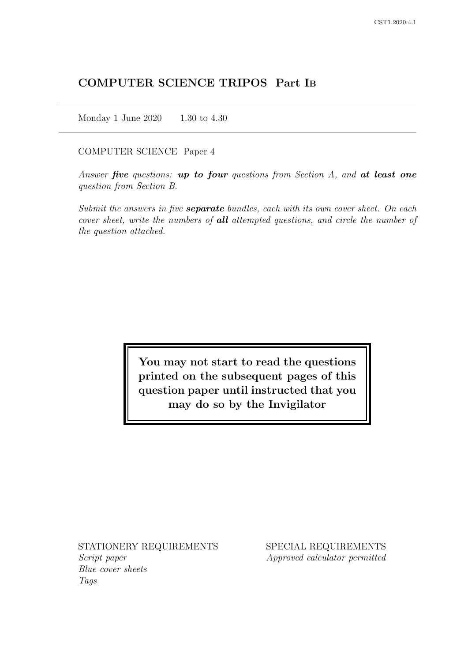# COMPUTER SCIENCE TRIPOS Part IB

Monday 1 June 2020 1.30 to 4.30

#### COMPUTER SCIENCE Paper 4

Answer five questions: up to four questions from Section  $A$ , and at least one question from Section B.

Submit the answers in five **separate** bundles, each with its own cover sheet. On each cover sheet, write the numbers of **all** attempted questions, and circle the number of the question attached.

> You may not start to read the questions printed on the subsequent pages of this question paper until instructed that you may do so by the Invigilator

STATIONERY REQUIREMENTS Script paper

Blue cover sheets Tags

SPECIAL REQUIREMENTS Approved calculator permitted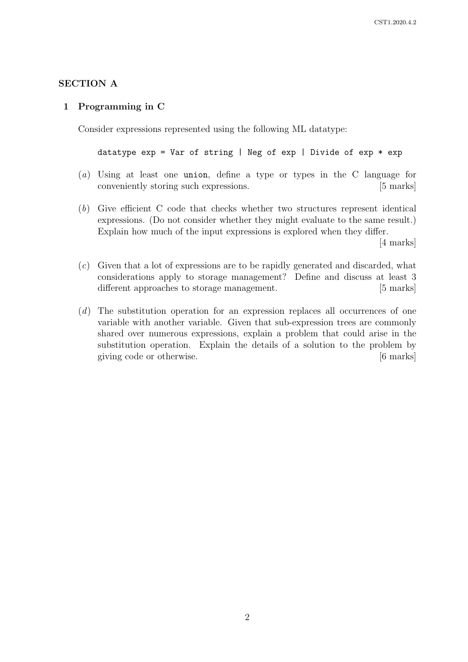## SECTION A

#### 1 Programming in C

Consider expressions represented using the following ML datatype:

```
datatype exp = Var of string | Neg of exp | Divide of exp * exp
```
- (a) Using at least one union, define a type or types in the C language for conveniently storing such expressions. [5 marks]
- (b) Give efficient C code that checks whether two structures represent identical expressions. (Do not consider whether they might evaluate to the same result.) Explain how much of the input expressions is explored when they differ.

[4 marks]

- (c) Given that a lot of expressions are to be rapidly generated and discarded, what considerations apply to storage management? Define and discuss at least 3 different approaches to storage management. [5 marks]
- (d) The substitution operation for an expression replaces all occurrences of one variable with another variable. Given that sub-expression trees are commonly shared over numerous expressions, explain a problem that could arise in the substitution operation. Explain the details of a solution to the problem by giving code or otherwise. [6 marks]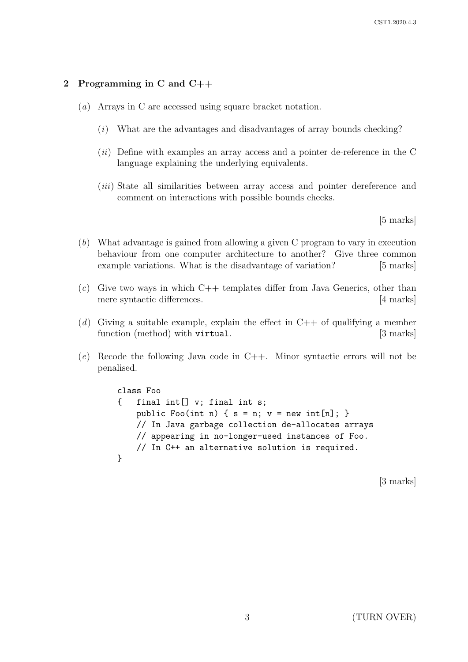## 2 Programming in C and C++

- (a) Arrays in C are accessed using square bracket notation.
	- (i) What are the advantages and disadvantages of array bounds checking?
	- $(ii)$  Define with examples an array access and a pointer de-reference in the C language explaining the underlying equivalents.
	- (iii) State all similarities between array access and pointer dereference and comment on interactions with possible bounds checks.

[5 marks]

- (b) What advantage is gained from allowing a given C program to vary in execution behaviour from one computer architecture to another? Give three common example variations. What is the disadvantage of variation? [5 marks]
- $(c)$  Give two ways in which C++ templates differ from Java Generics, other than mere syntactic differences. [4 marks]
- (d) Giving a suitable example, explain the effect in  $C++$  of qualifying a member function (method) with virtual. [3 marks]
- $(e)$  Recode the following Java code in C++. Minor syntactic errors will not be penalised.

```
class Foo
{ final int[] v; final int s;
   public Foo(int n) { s = n; v = new int[n]; }
    // In Java garbage collection de-allocates arrays
    // appearing in no-longer-used instances of Foo.
    // In C++ an alternative solution is required.
}
```
[3 marks]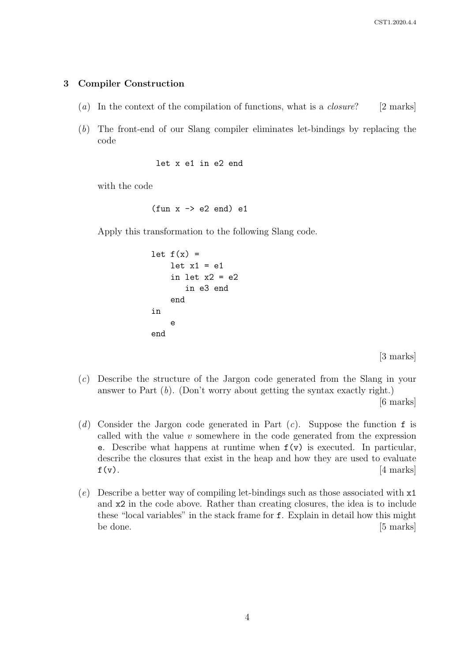# 3 Compiler Construction

- (a) In the context of the compilation of functions, what is a *closure*? [2 marks]
- (b) The front-end of our Slang compiler eliminates let-bindings by replacing the code

```
let x e1 in e2 end
```
with the code

```
(fun x \rightarrow e2 \text{ end}) e1
```
Apply this transformation to the following Slang code.

```
let f(x) =let x1 = e1in let x2 = e2in e3 end
    end
in
    e
end
```
[3 marks]

(c) Describe the structure of the Jargon code generated from the Slang in your answer to Part (b). (Don't worry about getting the syntax exactly right.)

[6 marks]

- (d) Consider the Jargon code generated in Part  $(c)$ . Suppose the function f is called with the value  $v$  somewhere in the code generated from the expression e. Describe what happens at runtime when  $f(v)$  is executed. In particular, describe the closures that exist in the heap and how they are used to evaluate  $f(v)$ . [4 marks]
- (e) Describe a better way of compiling let-bindings such as those associated with x1 and x2 in the code above. Rather than creating closures, the idea is to include these "local variables" in the stack frame for f. Explain in detail how this might be done. [5 marks]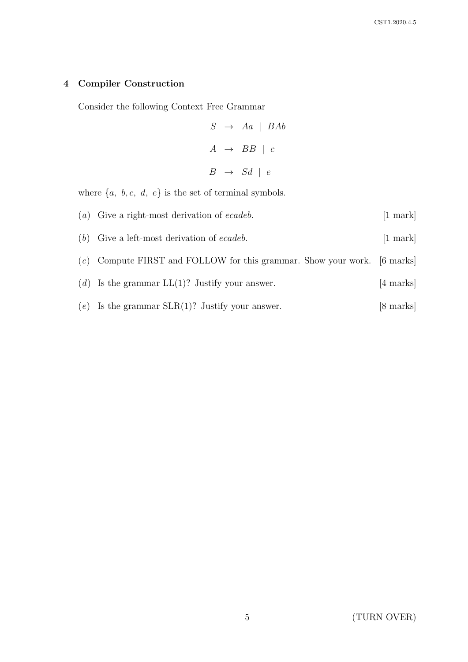# 4 Compiler Construction

Consider the following Context Free Grammar

 $S \rightarrow Aa \mid BAb$  $A \rightarrow BB \mid c$  $B \rightarrow Sd \mid e$ 

where  $\{a,\ b, c,\ d,\ e\}$  is the set of terminal symbols.

| $(a)$ Give a right-most derivation of <i>ecadeb</i> .                      | $[1 \text{ mark}]$ |
|----------------------------------------------------------------------------|--------------------|
| $(b)$ Give a left-most derivation of <i>ecadeb</i> .                       | $[1 \text{ mark}]$ |
| $(c)$ Compute FIRST and FOLLOW for this grammar. Show your work. [6 marks] |                    |
| (d) Is the grammar $LL(1)$ ? Justify your answer.                          | [4 marks]          |
| (e) Is the grammar $SLR(1)$ ? Justify your answer.                         | [8 marks]          |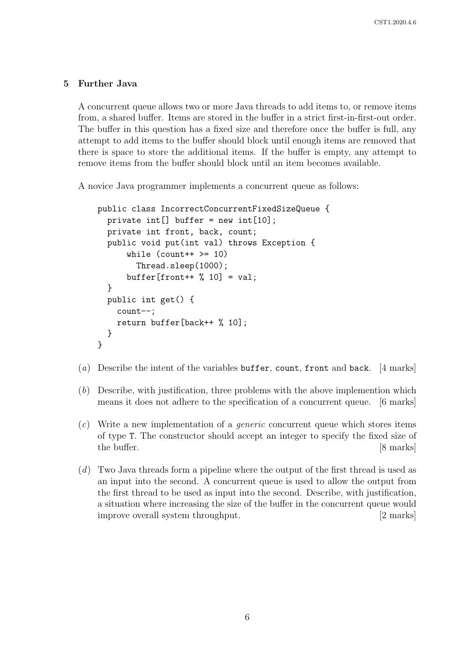#### 5 Further Java

A concurrent queue allows two or more Java threads to add items to, or remove items from, a shared buffer. Items are stored in the buffer in a strict first-in-first-out order. The buffer in this question has a fixed size and therefore once the buffer is full, any attempt to add items to the buffer should block until enough items are removed that there is space to store the additional items. If the buffer is empty, any attempt to remove items from the buffer should block until an item becomes available.

A novice Java programmer implements a concurrent queue as follows:

```
public class IncorrectConcurrentFixedSizeQueue {
  private int[] buffer = new int[10];
 private int front, back, count;
 public void put(int val) throws Exception {
      while \text{(count++} \geq 10)Thread.sleep(1000);
      buffer[front++ % 10] = val;}
 public int get() {
    count--;
    return buffer[back++ % 10];
  }
}
```
- (a) Describe the intent of the variables buffer, count, front and back. [4 marks]
- (b) Describe, with justification, three problems with the above implemention which means it does not adhere to the specification of a concurrent queue. [6 marks]
- (c) Write a new implementation of a generic concurrent queue which stores items of type T. The constructor should accept an integer to specify the fixed size of the buffer. [8 marks]
- (d) Two Java threads form a pipeline where the output of the first thread is used as an input into the second. A concurrent queue is used to allow the output from the first thread to be used as input into the second. Describe, with justification, a situation where increasing the size of the buffer in the concurrent queue would improve overall system throughput. [2 marks]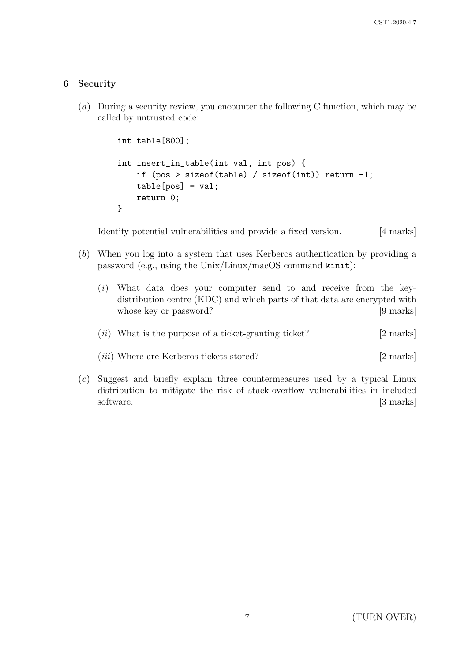# 6 Security

(a) During a security review, you encounter the following C function, which may be called by untrusted code:

```
int table[800];
int insert_in_table(int val, int pos) {
    if (pos > sizeof(table) / sizeof(int)) return -1;
    table[pos] = val;
    return 0;
}
```
Identify potential vulnerabilities and provide a fixed version. [4 marks]

- (b) When you log into a system that uses Kerberos authentication by providing a password (e.g., using the Unix/Linux/macOS command kinit):
	- (i) What data does your computer send to and receive from the keydistribution centre (KDC) and which parts of that data are encrypted with whose key or password? [9 marks]
	- $(ii)$  What is the purpose of a ticket-granting ticket? [2 marks]
	- (*iii*) Where are Kerberos tickets stored? [2 marks]
- (c) Suggest and briefly explain three countermeasures used by a typical Linux distribution to mitigate the risk of stack-overflow vulnerabilities in included software. [3 marks]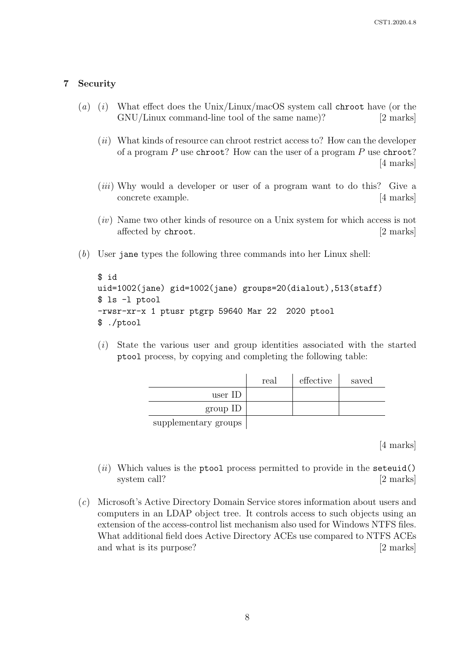## 7 Security

- (a) (i) What effect does the Unix/Linux/macOS system call chroot have (or the GNU/Linux command-line tool of the same name)? [2 marks]
	- $(ii)$  What kinds of resource can chroot restrict access to? How can the developer of a program  $P$  use chroot? How can the user of a program  $P$  use chroot? [4 marks]
	- (*iii*) Why would a developer or user of a program want to do this? Give a concrete example. [4 marks]
	- $(iv)$  Name two other kinds of resource on a Unix system for which access is not affected by chroot. [2 marks]
- (b) User jane types the following three commands into her Linux shell:

```
$ id
uid=1002(jane) gid=1002(jane) groups=20(dialout),513(staff)
$ ls -l ptool
-rwsr-xr-x 1 ptusr ptgrp 59640 Mar 22 2020 ptool
$ ./ptool
```
(i) State the various user and group identities associated with the started ptool process, by copying and completing the following table:

|                      | real | effective | saved |
|----------------------|------|-----------|-------|
| user ID              |      |           |       |
| $group$ ID           |      |           |       |
| supplementary groups |      |           |       |

[4 marks]

- $(ii)$  Which values is the ptool process permitted to provide in the seteuid() system call? [2 marks]
- (c) Microsoft's Active Directory Domain Service stores information about users and computers in an LDAP object tree. It controls access to such objects using an extension of the access-control list mechanism also used for Windows NTFS files. What additional field does Active Directory ACEs use compared to NTFS ACEs and what is its purpose? [2 marks]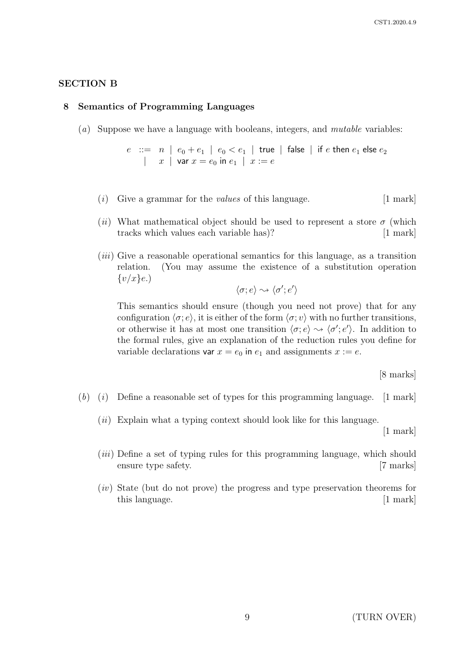## SECTION B

#### 8 Semantics of Programming Languages

(a) Suppose we have a language with booleans, integers, and *mutable* variables:

 $e$  ::=  $n \, \mid \, e_0 + e_1 \, \mid \, e_0 < e_1 \, \mid \,$  true  $\, \mid \,$  false  $\, \mid \,$  if  $e$  then  $e_1$  else  $e_2$  $\vert x \vert$  var  $x = e_0$  in  $e_1 \vert x := e$ 

- $(i)$  Give a grammar for the *values* of this language. [1 mark]
- (ii) What mathematical object should be used to represent a store  $\sigma$  (which tracks which values each variable has)? [1 mark]
- $(iii)$  Give a reasonable operational semantics for this language, as a transition relation. (You may assume the existence of a substitution operation  $\{v/x\}$ e.)

$$
\langle \sigma; e \rangle \rightsquigarrow \langle \sigma'; e' \rangle
$$

This semantics should ensure (though you need not prove) that for any configuration  $\langle \sigma; e \rangle$ , it is either of the form  $\langle \sigma; v \rangle$  with no further transitions, or otherwise it has at most one transition  $\langle \sigma, e \rangle \rightsquigarrow \langle \sigma', e' \rangle$ . In addition to the formal rules, give an explanation of the reduction rules you define for variable declarations var  $x = e_0$  in  $e_1$  and assignments  $x := e$ .

[8 marks]

- $(b)$  (i) Define a reasonable set of types for this programming language. [1 mark]
	- $(ii)$  Explain what a typing context should look like for this language.

[1 mark]

- (iii) Define a set of typing rules for this programming language, which should ensure type safety. [7 marks]
- $(iv)$  State (but do not prove) the progress and type preservation theorems for this language. [1 mark]